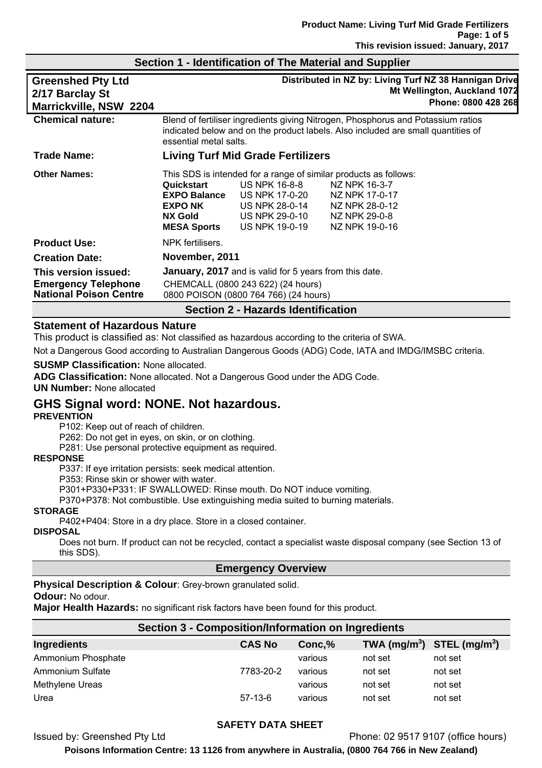| <b>Greenshed Pty Ltd</b><br>2/17 Barclay St<br>Marrickville, NSW 2204               |                                                                                                                                                                                                |                                                                                       | Distributed in NZ by: Living Turf NZ 38 Hannigan Drive<br>Mt Wellington, Auckland 1072<br>Phone: 0800 428 268                                            |
|-------------------------------------------------------------------------------------|------------------------------------------------------------------------------------------------------------------------------------------------------------------------------------------------|---------------------------------------------------------------------------------------|----------------------------------------------------------------------------------------------------------------------------------------------------------|
| <b>Chemical nature:</b>                                                             | Blend of fertiliser ingredients giving Nitrogen, Phosphorus and Potassium ratios<br>indicated below and on the product labels. Also included are small quantities of<br>essential metal salts. |                                                                                       |                                                                                                                                                          |
| <b>Trade Name:</b>                                                                  | <b>Living Turf Mid Grade Fertilizers</b>                                                                                                                                                       |                                                                                       |                                                                                                                                                          |
| <b>Other Names:</b>                                                                 | Quickstart<br><b>EXPO Balance</b><br><b>EXPO NK</b><br><b>NX Gold</b><br><b>MESA Sports</b>                                                                                                    | US NPK 16-8-8<br>US NPK 17-0-20<br>US NPK 28-0-14<br>US NPK 29-0-10<br>US NPK 19-0-19 | This SDS is intended for a range of similar products as follows:<br>NZ NPK 16-3-7<br>NZ NPK 17-0-17<br>NZ NPK 28-0-12<br>NZ NPK 29-0-8<br>NZ NPK 19-0-16 |
| <b>Product Use:</b>                                                                 | NPK fertilisers.                                                                                                                                                                               |                                                                                       |                                                                                                                                                          |
| <b>Creation Date:</b>                                                               | November, 2011                                                                                                                                                                                 |                                                                                       |                                                                                                                                                          |
| This version issued:<br><b>Emergency Telephone</b><br><b>National Poison Centre</b> | <b>January, 2017</b> and is valid for 5 years from this date.<br>CHEMCALL (0800 243 622) (24 hours)<br>0800 POISON (0800 764 766) (24 hours)                                                   |                                                                                       |                                                                                                                                                          |
| <b>Section 2 - Hazards Identification</b>                                           |                                                                                                                                                                                                |                                                                                       |                                                                                                                                                          |

## **Section 1 - Identification of The Material and Supplier**

### **Statement of Hazardous Nature**

This product is classified as: Not classified as hazardous according to the criteria of SWA.

Not a Dangerous Good according to Australian Dangerous Goods (ADG) Code, IATA and IMDG/IMSBC criteria.

#### **SUSMP Classification:** None allocated.

**ADG Classification:** None allocated. Not a Dangerous Good under the ADG Code.

**UN Number:** None allocated

## **GHS Signal word: NONE. Not hazardous.**

### **PREVENTION**

P102: Keep out of reach of children.

P262: Do not get in eyes, on skin, or on clothing.

P281: Use personal protective equipment as required.

#### **RESPONSE**

P337: If eye irritation persists: seek medical attention.

P353: Rinse skin or shower with water.

P301+P330+P331: IF SWALLOWED: Rinse mouth. Do NOT induce vomiting.

P370+P378: Not combustible. Use extinguishing media suited to burning materials.

#### **STORAGE**

P402+P404: Store in a dry place. Store in a closed container.

#### **DISPOSAL**

Does not burn. If product can not be recycled, contact a specialist waste disposal company (see Section 13 of this SDS).

### **Emergency Overview**

## **Physical Description & Colour**: Grey-brown granulated solid.

#### **Odour:** No odour.

**Major Health Hazards:** no significant risk factors have been found for this product.

| Section 3 - Composition/Information on Ingredients |  |               |         |                                                    |         |
|----------------------------------------------------|--|---------------|---------|----------------------------------------------------|---------|
| Ingredients                                        |  | <b>CAS No</b> | Conc,%  | TWA (mg/m <sup>3</sup> ) STEL (mg/m <sup>3</sup> ) |         |
| Ammonium Phosphate                                 |  |               | various | not set                                            | not set |
| Ammonium Sulfate                                   |  | 7783-20-2     | various | not set                                            | not set |
| Methylene Ureas                                    |  |               | various | not set                                            | not set |
| Urea                                               |  | $57-13-6$     | various | not set                                            | not set |

## **SAFETY DATA SHEET**

Issued by: Greenshed Pty Ltd Phone: 02 9517 9107 (office hours)

**Poisons Information Centre: 13 1126 from anywhere in Australia, (0800 764 766 in New Zealand)**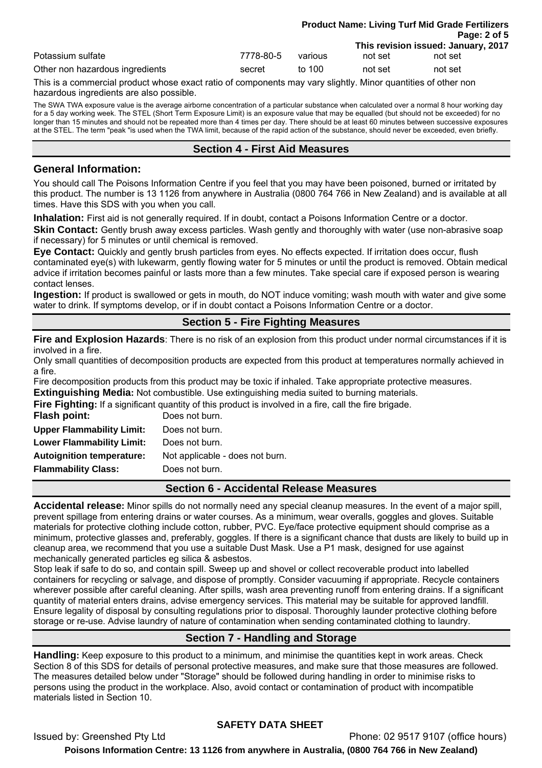|                                 |           | <b>Product Name: Living Turf Mid Grade Fertilizers</b> |         |                                     |
|---------------------------------|-----------|--------------------------------------------------------|---------|-------------------------------------|
|                                 |           |                                                        |         | Page: 2 of 5                        |
|                                 |           |                                                        |         | This revision issued: January, 2017 |
| Potassium sulfate               | 7778-80-5 | various                                                | not set | not set                             |
| Other non hazardous ingredients | secret    | to $100$                                               | not set | not set                             |

This is a commercial product whose exact ratio of components may vary slightly. Minor quantities of other non hazardous ingredients are also possible.

The SWA TWA exposure value is the average airborne concentration of a particular substance when calculated over a normal 8 hour working day for a 5 day working week. The STEL (Short Term Exposure Limit) is an exposure value that may be equalled (but should not be exceeded) for no longer than 15 minutes and should not be repeated more than 4 times per day. There should be at least 60 minutes between successive exposures at the STEL. The term "peak "is used when the TWA limit, because of the rapid action of the substance, should never be exceeded, even briefly.

## **Section 4 - First Aid Measures**

### **General Information:**

You should call The Poisons Information Centre if you feel that you may have been poisoned, burned or irritated by this product. The number is 13 1126 from anywhere in Australia (0800 764 766 in New Zealand) and is available at all times. Have this SDS with you when you call.

**Inhalation:** First aid is not generally required. If in doubt, contact a Poisons Information Centre or a doctor. **Skin Contact:** Gently brush away excess particles. Wash gently and thoroughly with water (use non-abrasive soap if necessary) for 5 minutes or until chemical is removed.

**Eye Contact:** Quickly and gently brush particles from eyes. No effects expected. If irritation does occur, flush contaminated eye(s) with lukewarm, gently flowing water for 5 minutes or until the product is removed. Obtain medical advice if irritation becomes painful or lasts more than a few minutes. Take special care if exposed person is wearing contact lenses.

**Ingestion:** If product is swallowed or gets in mouth, do NOT induce vomiting; wash mouth with water and give some water to drink. If symptoms develop, or if in doubt contact a Poisons Information Centre or a doctor.

## **Section 5 - Fire Fighting Measures**

**Fire and Explosion Hazards**: There is no risk of an explosion from this product under normal circumstances if it is involved in a fire.

Only small quantities of decomposition products are expected from this product at temperatures normally achieved in a fire.

Fire decomposition products from this product may be toxic if inhaled. Take appropriate protective measures. **Extinguishing Media:** Not combustible. Use extinguishing media suited to burning materials.

**Fire Fighting:** If a significant quantity of this product is involved in a fire, call the fire brigade.<br>**Flash noint:** Does not burn

| Flash point:                     | Does not burn.                  |
|----------------------------------|---------------------------------|
| <b>Upper Flammability Limit:</b> | Does not burn.                  |
| <b>Lower Flammability Limit:</b> | Does not burn.                  |
| <b>Autoignition temperature:</b> | Not applicable - does not burn. |
| <b>Flammability Class:</b>       | Does not burn.                  |
|                                  |                                 |

## **Section 6 - Accidental Release Measures**

**Accidental release:** Minor spills do not normally need any special cleanup measures. In the event of a major spill, prevent spillage from entering drains or water courses. As a minimum, wear overalls, goggles and gloves. Suitable materials for protective clothing include cotton, rubber, PVC. Eye/face protective equipment should comprise as a minimum, protective glasses and, preferably, goggles. If there is a significant chance that dusts are likely to build up in cleanup area, we recommend that you use a suitable Dust Mask. Use a P1 mask, designed for use against mechanically generated particles eg silica & asbestos.

Stop leak if safe to do so, and contain spill. Sweep up and shovel or collect recoverable product into labelled containers for recycling or salvage, and dispose of promptly. Consider vacuuming if appropriate. Recycle containers wherever possible after careful cleaning. After spills, wash area preventing runoff from entering drains. If a significant quantity of material enters drains, advise emergency services. This material may be suitable for approved landfill. Ensure legality of disposal by consulting regulations prior to disposal. Thoroughly launder protective clothing before storage or re-use. Advise laundry of nature of contamination when sending contaminated clothing to laundry.

## **Section 7 - Handling and Storage**

**Handling:** Keep exposure to this product to a minimum, and minimise the quantities kept in work areas. Check Section 8 of this SDS for details of personal protective measures, and make sure that those measures are followed. The measures detailed below under "Storage" should be followed during handling in order to minimise risks to persons using the product in the workplace. Also, avoid contact or contamination of product with incompatible materials listed in Section 10.

## **SAFETY DATA SHEET**

Issued by: Greenshed Pty Ltd Phone: 02 9517 9107 (office hours) **Poisons Information Centre: 13 1126 from anywhere in Australia, (0800 764 766 in New Zealand)**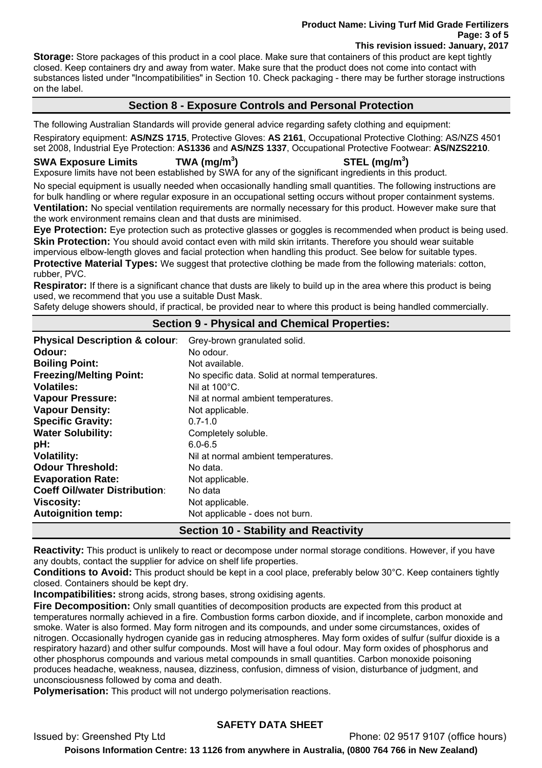#### **Product Name: Living Turf Mid Grade Fertilizers Page: 3 of 5 This revision issued: January, 2017**

**Storage:** Store packages of this product in a cool place. Make sure that containers of this product are kept tightly closed. Keep containers dry and away from water. Make sure that the product does not come into contact with substances listed under "Incompatibilities" in Section 10. Check packaging - there may be further storage instructions on the label.

## **Section 8 - Exposure Controls and Personal Protection**

The following Australian Standards will provide general advice regarding safety clothing and equipment: Respiratory equipment: **AS/NZS 1715**, Protective Gloves: **AS 2161**, Occupational Protective Clothing: AS/NZS 4501 set 2008, Industrial Eye Protection: **AS1336** and **AS/NZS 1337**, Occupational Protective Footwear: **AS/NZS2210**.

#### **SWA Exposure Limits TWA (mg/m<sup>3</sup>**

## **) STEL (mg/m<sup>3</sup> )**

Exposure limits have not been established by SWA for any of the significant ingredients in this product.

No special equipment is usually needed when occasionally handling small quantities. The following instructions are for bulk handling or where regular exposure in an occupational setting occurs without proper containment systems. **Ventilation:** No special ventilation requirements are normally necessary for this product. However make sure that the work environment remains clean and that dusts are minimised.

**Eye Protection:** Eye protection such as protective glasses or goggles is recommended when product is being used. **Skin Protection:** You should avoid contact even with mild skin irritants. Therefore you should wear suitable impervious elbow-length gloves and facial protection when handling this product. See below for suitable types.

**Protective Material Types:** We suggest that protective clothing be made from the following materials: cotton, rubber, PVC.

**Respirator:** If there is a significant chance that dusts are likely to build up in the area where this product is being used, we recommend that you use a suitable Dust Mask.

Safety deluge showers should, if practical, be provided near to where this product is being handled commercially.

## **Section 9 - Physical and Chemical Properties:**

| <b>Physical Description &amp; colour:</b> | Grey-brown granulated solid.                    |
|-------------------------------------------|-------------------------------------------------|
| Odour:                                    | No odour.                                       |
| <b>Boiling Point:</b>                     | Not available.                                  |
| <b>Freezing/Melting Point:</b>            | No specific data. Solid at normal temperatures. |
| <b>Volatiles:</b>                         | Nil at $100^{\circ}$ C.                         |
| <b>Vapour Pressure:</b>                   | Nil at normal ambient temperatures.             |
| <b>Vapour Density:</b>                    | Not applicable.                                 |
| <b>Specific Gravity:</b>                  | $0.7 - 1.0$                                     |
| <b>Water Solubility:</b>                  | Completely soluble.                             |
| pH:                                       | $6.0 - 6.5$                                     |
| <b>Volatility:</b>                        | Nil at normal ambient temperatures.             |
| <b>Odour Threshold:</b>                   | No data.                                        |
| <b>Evaporation Rate:</b>                  | Not applicable.                                 |
| <b>Coeff Oil/water Distribution:</b>      | No data                                         |
| <b>Viscosity:</b>                         | Not applicable.                                 |
| <b>Autoignition temp:</b>                 | Not applicable - does not burn.                 |

## **Section 10 - Stability and Reactivity**

**Reactivity:** This product is unlikely to react or decompose under normal storage conditions. However, if you have any doubts, contact the supplier for advice on shelf life properties.

**Conditions to Avoid:** This product should be kept in a cool place, preferably below 30°C. Keep containers tightly closed. Containers should be kept dry.

**Incompatibilities:** strong acids, strong bases, strong oxidising agents.

**Fire Decomposition:** Only small quantities of decomposition products are expected from this product at temperatures normally achieved in a fire. Combustion forms carbon dioxide, and if incomplete, carbon monoxide and smoke. Water is also formed. May form nitrogen and its compounds, and under some circumstances, oxides of nitrogen. Occasionally hydrogen cyanide gas in reducing atmospheres. May form oxides of sulfur (sulfur dioxide is a respiratory hazard) and other sulfur compounds. Most will have a foul odour. May form oxides of phosphorus and other phosphorus compounds and various metal compounds in small quantities. Carbon monoxide poisoning produces headache, weakness, nausea, dizziness, confusion, dimness of vision, disturbance of judgment, and unconsciousness followed by coma and death.

**Polymerisation:** This product will not undergo polymerisation reactions.

## **SAFETY DATA SHEET**

Issued by: Greenshed Pty Ltd Phone: 02 9517 9107 (office hours)

**Poisons Information Centre: 13 1126 from anywhere in Australia, (0800 764 766 in New Zealand)**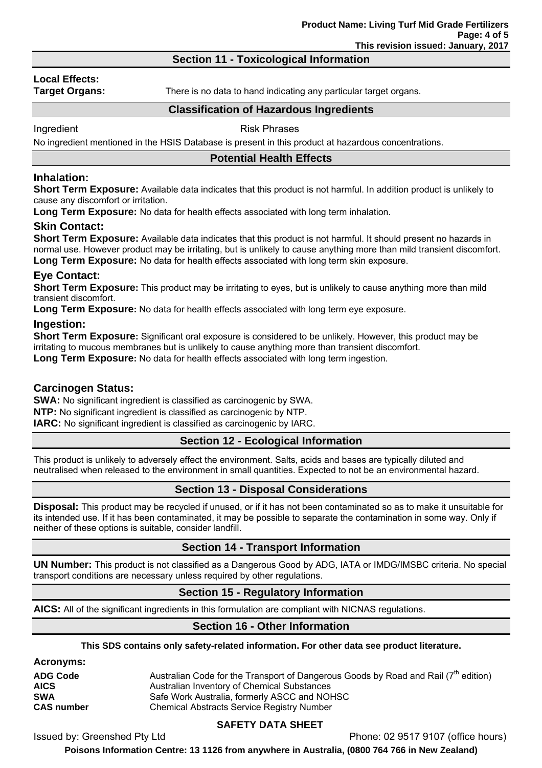## **Section 11 - Toxicological Information**

# **Local Effects:**

**Target Organs:** There is no data to hand indicating any particular target organs.

## **Classification of Hazardous Ingredients**

Ingredient **Risk Phrases** 

No ingredient mentioned in the HSIS Database is present in this product at hazardous concentrations.

### **Potential Health Effects**

## **Inhalation:**

**Short Term Exposure:** Available data indicates that this product is not harmful. In addition product is unlikely to cause any discomfort or irritation.

**Long Term Exposure:** No data for health effects associated with long term inhalation.

### **Skin Contact:**

**Short Term Exposure:** Available data indicates that this product is not harmful. It should present no hazards in normal use. However product may be irritating, but is unlikely to cause anything more than mild transient discomfort. **Long Term Exposure:** No data for health effects associated with long term skin exposure.

### **Eye Contact:**

**Short Term Exposure:** This product may be irritating to eyes, but is unlikely to cause anything more than mild transient discomfort.

**Long Term Exposure:** No data for health effects associated with long term eye exposure.

### **Ingestion:**

**Short Term Exposure:** Significant oral exposure is considered to be unlikely. However, this product may be irritating to mucous membranes but is unlikely to cause anything more than transient discomfort.

**Long Term Exposure:** No data for health effects associated with long term ingestion.

### **Carcinogen Status:**

**SWA:** No significant ingredient is classified as carcinogenic by SWA.

**NTP:** No significant ingredient is classified as carcinogenic by NTP.

**IARC:** No significant ingredient is classified as carcinogenic by IARC.

## **Section 12 - Ecological Information**

This product is unlikely to adversely effect the environment. Salts, acids and bases are typically diluted and neutralised when released to the environment in small quantities. Expected to not be an environmental hazard.

## **Section 13 - Disposal Considerations**

**Disposal:** This product may be recycled if unused, or if it has not been contaminated so as to make it unsuitable for its intended use. If it has been contaminated, it may be possible to separate the contamination in some way. Only if neither of these options is suitable, consider landfill.

## **Section 14 - Transport Information**

**UN Number:** This product is not classified as a Dangerous Good by ADG, IATA or IMDG/IMSBC criteria. No special transport conditions are necessary unless required by other regulations.

## **Section 15 - Regulatory Information**

**AICS:** All of the significant ingredients in this formulation are compliant with NICNAS regulations.

## **Section 16 - Other Information**

**This SDS contains only safety-related information. For other data see product literature.** 

**Acronyms:** 

| <b>ADG Code</b>   | Australian Code for the Transport of Dangerous Goods by Road and Rail $7th$ edition) |
|-------------------|--------------------------------------------------------------------------------------|
| <b>AICS</b>       | Australian Inventory of Chemical Substances                                          |
| <b>SWA</b>        | Safe Work Australia, formerly ASCC and NOHSC                                         |
| <b>CAS number</b> | <b>Chemical Abstracts Service Registry Number</b>                                    |

## **SAFETY DATA SHEET**

Issued by: Greenshed Pty Ltd Phone: 02 9517 9107 (office hours)

**Poisons Information Centre: 13 1126 from anywhere in Australia, (0800 764 766 in New Zealand)**